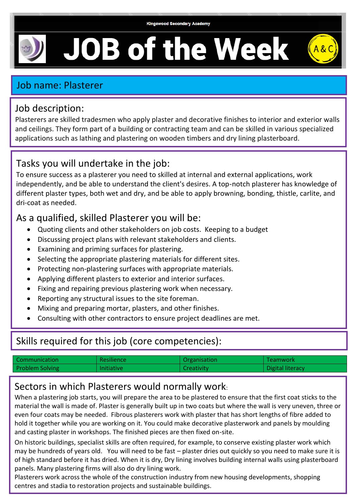# **JOB of the Week**



#### Job description:

Plasterers are skilled tradesmen who apply plaster and decorative finishes to interior and exterior walls and ceilings. They form part of a building or contracting team and can be skilled in various specialized applications such as lathing and plastering on wooden timbers and dry lining plasterboard.

## Tasks you will undertake in the job:

To ensure success as a plasterer you need to skilled at internal and external applications, work independently, and be able to understand the client's desires. A top-notch plasterer has knowledge of different plaster types, both wet and dry, and be able to apply browning, bonding, thistle, carlite, and dri-coat as needed.

## As a qualified, skilled Plasterer you will be:

- Quoting clients and other stakeholders on job costs. Keeping to a budget
- Discussing project plans with relevant stakeholders and clients.
- Examining and priming surfaces for plastering.
- Selecting the appropriate plastering materials for different sites.
- Protecting non-plastering surfaces with appropriate materials.
- Applying different plasters to exterior and interior surfaces.
- Fixing and repairing previous plastering work when necessary.
- Reporting any structural issues to the site foreman.
- Mixing and preparing mortar, plasters, and other finishes.
- Consulting with other contractors to ensure project deadlines are met.

# Skills required for this job (core competencies):

| Communication          | <b>Resilience</b> | <b>Organisation</b> | Teamwork         |
|------------------------|-------------------|---------------------|------------------|
| <b>Problem Solving</b> | <b>Initiative</b> | Creativity          | Digital literacy |

### Sectors in which Plasterers would normally work:

When a plastering job starts, you will prepare the area to be plastered to ensure that the first coat sticks to the material the wall is made of. Plaster is generally built up in two coats but where the wall is very uneven, three or even four coats may be needed. Fibrous plasterers work with plaster that has short lengths of fibre added to hold it together while you are working on it. You could make decorative plasterwork and panels by moulding and casting plaster in workshops. The finished pieces are then fixed on-site.

On historic buildings, specialist skills are often required, for example, to conserve existing plaster work which may be hundreds of years old. You will need to be fast – plaster dries out quickly so you need to make sure it is of high standard before it has dried. When it is dry, Dry lining involves building internal walls using plasterboard panels. Many plastering firms will also do dry lining work.

Plasterers work across the whole of the construction industry from new housing developments, shopping centres and stadia to restoration projects and sustainable buildings.